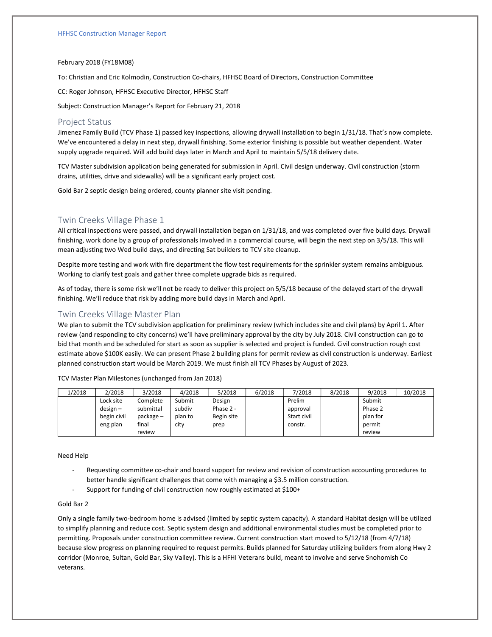#### February 2018 (FY18M08)

To: Christian and Eric Kolmodin, Construction Co-chairs, HFHSC Board of Directors, Construction Committee

CC: Roger Johnson, HFHSC Executive Director, HFHSC Staff

Subject: Construction Manager's Report for February 21, 2018

### Project Status

Jimenez Family Build (TCV Phase 1) passed key inspections, allowing drywall installation to begin 1/31/18. That's now complete. We've encountered a delay in next step, drywall finishing. Some exterior finishing is possible but weather dependent. Water supply upgrade required. Will add build days later in March and April to maintain 5/5/18 delivery date.

TCV Master subdivision application being generated for submission in April. Civil design underway. Civil construction (storm drains, utilities, drive and sidewalks) will be a significant early project cost.

Gold Bar 2 septic design being ordered, county planner site visit pending.

### Twin Creeks Village Phase 1

All critical inspections were passed, and drywall installation began on 1/31/18, and was completed over five build days. Drywall finishing, work done by a group of professionals involved in a commercial course, will begin the next step on 3/5/18. This will mean adjusting two Wed build days, and directing Sat builders to TCV site cleanup.

Despite more testing and work with fire department the flow test requirements for the sprinkler system remains ambiguous. Working to clarify test goals and gather three complete upgrade bids as required.

As of today, there is some risk we'll not be ready to deliver this project on 5/5/18 because of the delayed start of the drywall finishing. We'll reduce that risk by adding more build days in March and April.

## Twin Creeks Village Master Plan

We plan to submit the TCV subdivision application for preliminary review (which includes site and civil plans) by April 1. After review (and responding to city concerns) we'll have preliminary approval by the city by July 2018. Civil construction can go to bid that month and be scheduled for start as soon as supplier is selected and project is funded. Civil construction rough cost estimate above \$100K easily. We can present Phase 2 building plans for permit review as civil construction is underway. Earliest planned construction start would be March 2019. We must finish all TCV Phases by August of 2023.

TCV Master Plan Milestones (unchanged from Jan 2018)

| 1/2018 | 2/2018      | 3/2018      | 4/2018  | 5/2018     | 6/2018 | 7/2018      | 8/2018 | 9/2018   | 10/2018 |
|--------|-------------|-------------|---------|------------|--------|-------------|--------|----------|---------|
|        | Lock site   | Complete    | Submit  | Design     |        | Prelim      |        | Submit   |         |
|        | $design -$  | submittal   | subdiv  | Phase 2 -  |        | approval    |        | Phase 2  |         |
|        | begin civil | $package -$ | plan to | Begin site |        | Start civil |        | plan for |         |
|        | eng plan    | final       | city    | prep       |        | constr.     |        | permit   |         |
|        |             | review      |         |            |        |             |        | review   |         |

#### Need Help

- Requesting committee co-chair and board support for review and revision of construction accounting procedures to better handle significant challenges that come with managing a \$3.5 million construction.
- Support for funding of civil construction now roughly estimated at \$100+

#### Gold Bar 2

Only a single family two-bedroom home is advised (limited by septic system capacity). A standard Habitat design will be utilized to simplify planning and reduce cost. Septic system design and additional environmental studies must be completed prior to permitting. Proposals under construction committee review. Current construction start moved to 5/12/18 (from 4/7/18) because slow progress on planning required to request permits. Builds planned for Saturday utilizing builders from along Hwy 2 corridor (Monroe, Sultan, Gold Bar, Sky Valley). This is a HFHI Veterans build, meant to involve and serve Snohomish Co veterans.